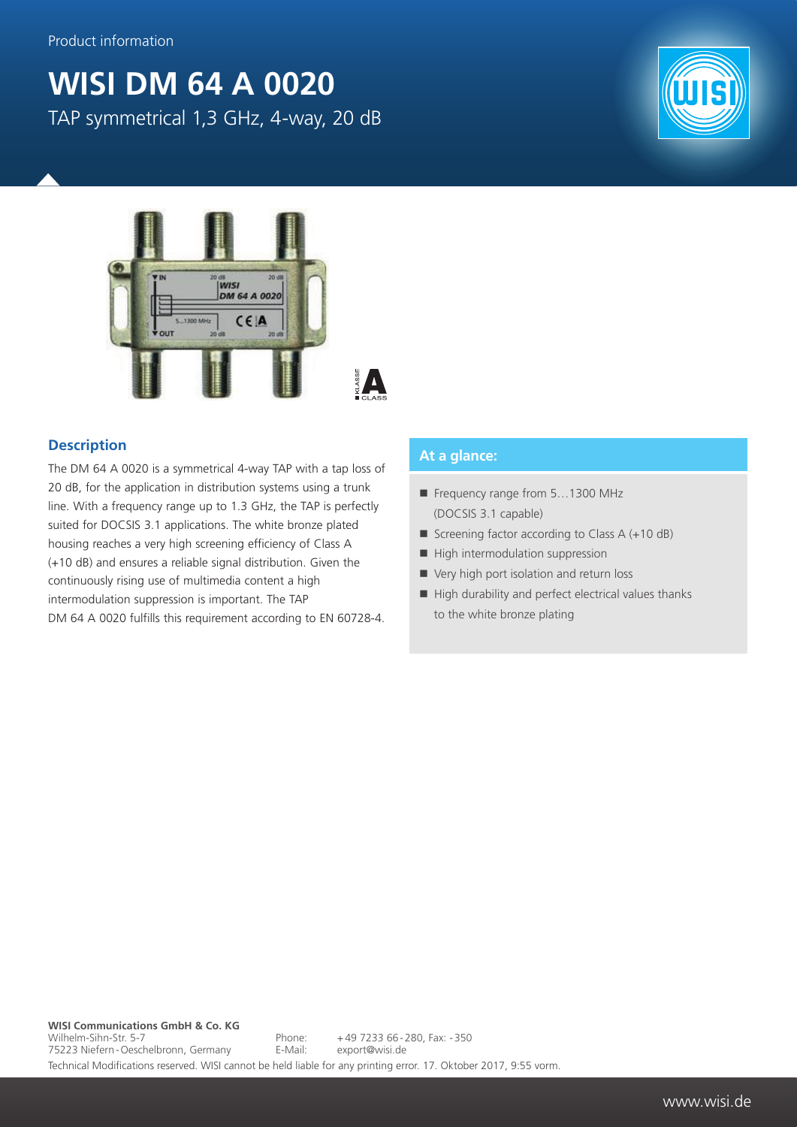## **WISI DM 64 A 0020** TAP symmetrical 1,3 GHz, 4-way, 20 dB



## **Description**

The DM 64 A 0020 is a symmetrical 4-way TAP with a tap loss of 20 dB, for the application in distribution systems using a trunk line. With a frequency range up to 1.3 GHz, the TAP is perfectly suited for DOCSIS 3.1 applications. The white bronze plated housing reaches a very high screening efficiency of Class A (+10 dB) and ensures a reliable signal distribution. Given the continuously rising use of multimedia content a high intermodulation suppression is important. The TAP DM 64 A 0020 fulfills this requirement according to EN 60728-4.

## **At a glance:**

- Frequency range from 5...1300 MHz (DOCSIS 3.1 capable)
- Screening factor according to Class  $A (+10 dB)$
- $\blacksquare$  High intermodulation suppression
- Very high port isolation and return loss
- $\blacksquare$  High durability and perfect electrical values thanks to the white bronze plating